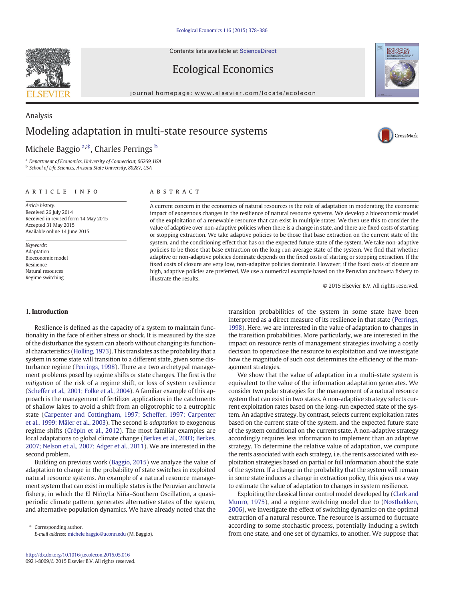Contents lists available at ScienceDirect

# Ecological Economics

journal homepage: www.elsevier.com/locate/ecolecon

## Analysis Modeling adaptation in multi-state resource systems

### Michele Baggio<sup>a,\*</sup>, Charles Perrings b

a Department of Economics, University of Connecticut, 06269, USA

**b** School of Life Sciences, Arizona State University, 80287, USA

#### article info abstract

Article history: Received 26 July 2014 Received in revised form 14 May 2015 Accepted 31 May 2015 Available online 14 June 2015

Keywords: Adaptation Bioeconomic model Resilience Natural resources Regime switching

A current concern in the economics of natural resources is the role of adaptation in moderating the economic impact of exogenous changes in the resilience of natural resource systems. We develop a bioeconomic model of the exploitation of a renewable resource that can exist in multiple states. We then use this to consider the value of adaptive over non-adaptive policies when there is a change in state, and there are fixed costs of starting or stopping extraction. We take adaptive policies to be those that base extraction on the current state of the system, and the conditioning effect that has on the expected future state of the system. We take non-adaptive policies to be those that base extraction on the long run average state of the system. We find that whether adaptive or non-adaptive policies dominate depends on the fixed costs of starting or stopping extraction. If the fixed costs of closure are very low, non-adaptive policies dominate. However, if the fixed costs of closure are high, adaptive policies are preferred. We use a numerical example based on the Peruvian anchoveta fishery to illustrate the results.

© 2015 Elsevier B.V. All rights reserved.

#### 1. Introduction

Resilience is defined as the capacity of a system to maintain functionality in the face of either stress or shock. It is measured by the size of the disturbance the system can absorb without changing its functional characteristics [\(Holling, 1973\)](#page-8-0). This translates as the probability that a system in some state will transition to a different state, given some disturbance regime [\(Perrings, 1998\)](#page-8-0). There are two archetypal management problems posed by regime shifts or state changes. The first is the mitigation of the risk of a regime shift, or loss of system resilience [\(Scheffer et al., 2001; Folke et al., 2004\)](#page-8-0). A familiar example of this approach is the management of fertilizer applications in the catchments of shallow lakes to avoid a shift from an oligotrophic to a eutrophic state ([Carpenter and Cottingham, 1997; Scheffer, 1997; Carpenter](#page-7-0) [et al., 1999; Mäler et al., 2003\)](#page-7-0). The second is adaptation to exogenous regime shifts ([Crépin et al., 2012\)](#page-7-0). The most familiar examples are local adaptations to global climate change [\(Berkes et al., 2003; Berkes,](#page-7-0) [2007; Nelson et al., 2007; Adger et al., 2011](#page-7-0)). We are interested in the second problem.

Building on previous work [\(Baggio, 2015\)](#page-7-0) we analyze the value of adaptation to change in the probability of state switches in exploited natural resource systems. An example of a natural resource management system that can exist in multiple states is the Peruvian anchoveta fishery, in which the El Niño/La Niña–Southern Oscillation, a quasiperiodic climate pattern, generates alternative states of the system, and alternative population dynamics. We have already noted that the

⁎ Corresponding author. E-mail address: [michele.baggio@uconn.edu](mailto:michele.baggio@uconn.edu) (M. Baggio). transition probabilities of the system in some state have been interpreted as a direct measure of its resilience in that state [\(Perrings,](#page-8-0) [1998\)](#page-8-0). Here, we are interested in the value of adaptation to changes in the transition probabilities. More particularly, we are interested in the impact on resource rents of management strategies involving a costly decision to open/close the resource to exploitation and we investigate how the magnitude of such cost determines the efficiency of the management strategies.

We show that the value of adaptation in a multi-state system is equivalent to the value of the information adaptation generates. We consider two polar strategies for the management of a natural resource system that can exist in two states. A non-adaptive strategy selects current exploitation rates based on the long-run expected state of the system. An adaptive strategy, by contrast, selects current exploitation rates based on the current state of the system, and the expected future state of the system conditional on the current state. A non-adaptive strategy accordingly requires less information to implement than an adaptive strategy. To determine the relative value of adaptation, we compute the rents associated with each strategy, i.e. the rents associated with exploitation strategies based on partial or full information about the state of the system. If a change in the probability that the system will remain in some state induces a change in extraction policy, this gives us a way to estimate the value of adaptation to changes in system resilience.

Exploiting the classical linear control model developed by ([Clark and](#page-7-0) [Munro, 1975\)](#page-7-0), and a regime switching model due to [\(Nøstbakken,](#page-8-0) [2006\)](#page-8-0), we investigate the effect of switching dynamics on the optimal extraction of a natural resource. The resource is assumed to fluctuate according to some stochastic process, potentially inducing a switch from one state, and one set of dynamics, to another. We suppose that





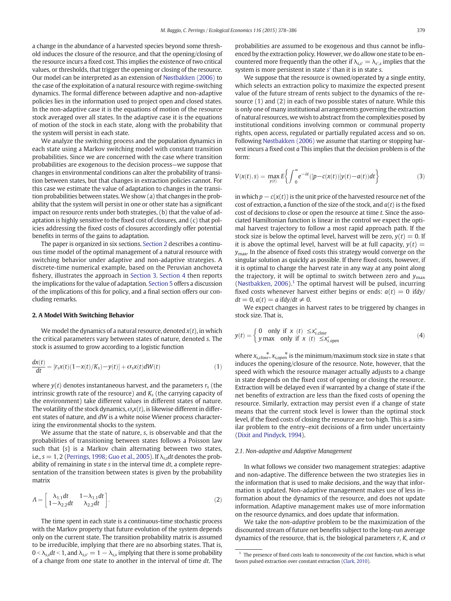<span id="page-1-0"></span>a change in the abundance of a harvested species beyond some threshold induces the closure of the resource, and that the opening/closing of the resource incurs a fixed cost. This implies the existence of two critical values, or thresholds, that trigger the opening or closing of the resource. Our model can be interpreted as an extension of [Nøstbakken \(2006\)](#page-8-0) to the case of the exploitation of a natural resource with regime-switching dynamics. The formal difference between adaptive and non-adaptive policies lies in the information used to project open and closed states. In the non-adaptive case it is the equations of motion of the resource stock averaged over all states. In the adaptive case it is the equations of motion of the stock in each state, along with the probability that the system will persist in each state.

We analyze the switching process and the population dynamics in each state using a Markov switching model with constant transition probabilities. Since we are concerned with the case where transition probabilities are exogenous to the decision process—we suppose that changes in environmental conditions can alter the probability of transition between states, but that changes in extraction policies cannot. For this case we estimate the value of adaptation to changes in the transition probabilities between states. We show (a) that changes in the probability that the system will persist in one or other state has a significant impact on resource rents under both strategies, (b) that the value of adaptation is highly sensitive to the fixed cost of closures, and (c) that policies addressing the fixed costs of closures accordingly offer potential benefits in terms of the gains to adaptation.

The paper is organized in six sections. Section 2 describes a continuous time model of the optimal management of a natural resource with switching behavior under adaptive and non-adaptive strategies. A discrete-time numerical example, based on the Peruvian anchoveta fishery, illustrates the approach in [Section 3](#page-2-0). [Section 4](#page-4-0) then reports the implications for the value of adaptation. [Section 5](#page-6-0) offers a discussion of the implications of this for policy, and a final section offers our concluding remarks.

#### 2. A Model With Switching Behavior

We model the dynamics of a natural resource, denoted  $x(t)$ , in which the critical parameters vary between states of nature, denoted s. The stock is assumed to grow according to a logistic function

$$
\frac{d\mathbf{x}(t)}{dt} = [r_s \mathbf{x}(t)(1 - \mathbf{x}(t)/K_s) - \mathbf{y}(t)] + \sigma_s \mathbf{x}(t) dW(t)
$$
\n(1)

where  $y(t)$  denotes instantaneous harvest, and the parameters  $r<sub>s</sub>$  (the intrinsic growth rate of the resource) and  $K_s$  (the carrying capacity of the environment) take different values in different states of nature. The volatility of the stock dynamics,  $\sigma_s x(t)$ , is likewise different in different states of nature, and dW is a white noise Wiener process characterizing the environmental shocks to the system.

We assume that the state of nature, s, is observable and that the probabilities of transitioning between states follows a Poisson law such that {s} is a Markov chain alternating between two states, i.e.,  $s = 1$ , 2 [\(Perrings, 1998; Guo et al., 2005\)](#page-8-0). If  $\lambda_{ss} dt$  denotes the probability of remaining in state s in the interval time dt, a complete representation of the transition between states is given by the probability matrix

$$
\Lambda = \begin{bmatrix} \lambda_{1,1}dt & 1 - \lambda_{1,1}dt \\ 1 - \lambda_{2,2}dt & \lambda_{2,2}dt \end{bmatrix}.
$$
 (2)

The time spent in each state is a continuous-time stochastic process with the Markov property that future evolution of the system depends only on the current state. The transition probability matrix is assumed to be irreducible, implying that there are no absorbing states. That is,  $0 < \lambda_{s,s}dt < 1$ , and  $\lambda_{s,s'} = 1 - \lambda_{s,s}$  implying that there is some probability of a change from one state to another in the interval of time dt. The probabilities are assumed to be exogenous and thus cannot be influenced by the extraction policy. However, we do allow one state to be encountered more frequently than the other if  $\lambda_{ss'} = \lambda_{s',s}$  implies that the system is more persistent in state s' than it is in state s.

We suppose that the resource is owned/operated by a single entity, which selects an extraction policy to maximize the expected present value of the future stream of rents subject to the dynamics of the resource (1) and (2) in each of two possible states of nature. While this is only one of many institutional arrangements governing the extraction of natural resources, we wish to abstract from the complexities posed by institutional conditions involving common or communal property rights, open access, regulated or partially regulated access and so on. Following [Nøstbakken \(2006\)](#page-8-0) we assume that starting or stopping harvest incurs a fixed cost a This implies that the decision problem is of the form:

$$
V(x(t), s) = \max_{y(t)} E\left\{ \int_0^{\infty} e^{-\delta t} ([p - c(x(t))] y(t) - a(t)) dt \right\}
$$
 (3)

in which  $p - c(x(t))$  is the unit price of the harvested resource net of the cost of extraction, a function of the size of the stock, and  $a(t)$  is the fixed cost of decisions to close or open the resource at time t. Since the associated Hamiltonian function is linear in the control we expect the optimal harvest trajectory to follow a most rapid approach path. If the stock size is below the optimal level, harvest will be zero,  $y(t) = 0$ . If it is above the optimal level, harvest will be at full capacity,  $y(t) =$  $y_{\text{max}}$ . In the absence of fixed costs this strategy would converge on the singular solution as quickly as possible. If there fixed costs, however, if it is optimal to change the harvest rate in any way at any point along the trajectory, it will be optimal to switch between zero and  $y_{\text{max}}$ [\(Nøstbakken, 2006\)](#page-8-0).<sup>1</sup> The optimal harvest will be pulsed, incurring fixed costs whenever harvest either begins or ends:  $a(t) = 0$  ifdy/  $dt = 0$ ,  $a(t) = a$  if  $dy/dt \neq 0$ .

We expect changes in harvest rates to be triggered by changes in stock size. That is,

$$
y(t) = \begin{cases} 0 & \text{only if } x \text{ (}t) \leq x_{s,\text{close}}^* \\ y \text{ max} & \text{only if } x \text{ (}t) \leq x_{s,\text{open}}^* \end{cases} \tag{4}
$$

where  $x_{s,close}$ ,  $x_{s,open}^*$  is the minimum/maximum stock size in state s that induces the opening/closure of the resource. Note, however, that the speed with which the resource manager actually adjusts to a change in state depends on the fixed cost of opening or closing the resource. Extraction will be delayed even if warranted by a change of state if the net benefits of extraction are less than the fixed costs of opening the resource. Similarly, extraction may persist even if a change of state means that the current stock level is lower than the optimal stock level, if the fixed costs of closing the resource are too high. This is a similar problem to the entry–exit decisions of a firm under uncertainty [\(Dixit and Pindyck, 1994](#page-8-0)).

#### 2.1. Non-adaptive and Adaptive Management

In what follows we consider two management strategies: adaptive and non-adaptive. The difference between the two strategies lies in the information that is used to make decisions, and the way that information is updated. Non-adaptive management makes use of less information about the dynamics of the resource, and does not update information. Adaptive management makes use of more information on the resource dynamics, and does update that information.

We take the non-adaptive problem to be the maximization of the discounted stream of future net benefits subject to the long-run average dynamics of the resource, that is, the biological parameters r, K, and  $\sigma$ 

 $1$  The presence of fixed costs leads to nonconvexity of the cost function, which is what favors pulsed extraction over constant extraction [\(Clark, 2010](#page-7-0)).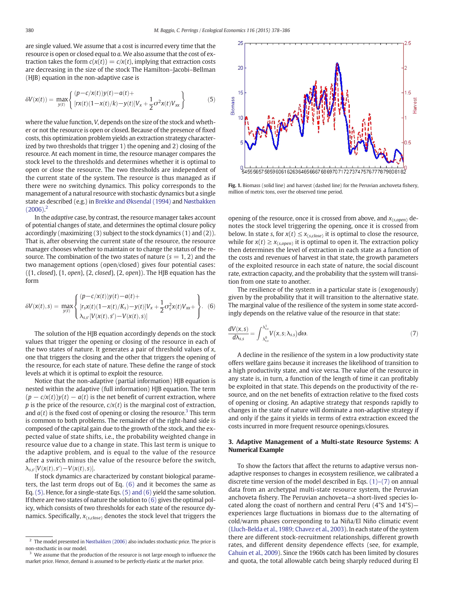DF.

<span id="page-2-0"></span>are single valued. We assume that a cost is incurred every time that the resource is open or closed equal to a. We also assume that the cost of extraction takes the form  $c(x(t)) = c/x(t)$ , implying that extraction costs are decreasing in the size of the stock The Hamilton–Jacobi–Bellman (HJB) equation in the non-adaptive case is

$$
\delta V(x(t)) = \max_{y(t)} \left\{ \frac{(p - c/x(t))y(t) - a(t) +}{[rx(t)(1 - x(t)/k) - y(t)]V_x + \frac{1}{2}\sigma^2 x(t)V_{xx}} \right\}
$$
(5)

where the value function, V, depends on the size of the stock and whether or not the resource is open or closed. Because of the presence of fixed costs, this optimization problem yields an extraction strategy characterized by two thresholds that trigger 1) the opening and 2) closing of the resource. At each moment in time, the resource manager compares the stock level to the thresholds and determines whether it is optimal to open or close the resource. The two thresholds are independent of the current state of the system. The resource is thus managed as if there were no switching dynamics. This policy corresponds to the management of a natural resource with stochastic dynamics but a single state as described (e.g.) in [Brekke and Øksendal \(1994\)](#page-7-0) and [Nøstbakken](#page-8-0)  $(2006)^2$  $(2006)^2$ 

In the adaptive case, by contrast, the resource manager takes account of potential changes of state, and determines the optimal closure policy accordingly (maximizing (3) subject to the stock dynamics (1) and (2)). That is, after observing the current state of the resource, the resource manager chooses whether to maintain or to change the status of the resource. The combination of the two states of nature  $(s = 1, 2)$  and the two management options (open/closed) gives four potential cases: ({1, closed}, {1, open}, {2, closed}, {2, open}). The HJB equation has the form

$$
\delta V(x(t), s) = \max_{y(t)} \left\{ \begin{aligned} & (p - c/x(t))y(t) - a(t) + \\ & [r_s x(t)(1 - x(t)/K_s) - y(t)]V_x + \frac{1}{2}\sigma_s^2 x(t)V_{xx} + \\ & \lambda_{s,s'}[V(x(t), s') - V(x(t), s)] \end{aligned} \right\}.
$$
 (6)

The solution of the HJB equation accordingly depends on the stock values that trigger the opening or closing of the resource in each of the two states of nature. It generates a pair of threshold values of  $x$ , one that triggers the closing and the other that triggers the opening of the resource, for each state of nature. These define the range of stock levels at which it is optimal to exploit the resource.

Notice that the non-adaptive (partial information) HJB equation is nested within the adaptive (full information) HJB equation. The term  $(p - c/x(t))y(t) - a(t)$  is the net benefit of current extraction, where  $p$  is the price of the resource,  $c/x(t)$  is the marginal cost of extraction, and  $a(t)$  is the fixed cost of opening or closing the resource.<sup>3</sup> This term is common to both problems. The remainder of the right-hand side is composed of the capital gain due to the growth of the stock, and the expected value of state shifts, i.e., the probability weighted change in resource value due to a change in state. This last term is unique to the adaptive problem, and is equal to the value of the resource after a switch minus the value of the resource before the switch,  $\lambda_{s,s'}[V(x(t),s') - V(x(t),s)].$ 

If stock dynamics are characterized by constant biological parameters, the last term drops out of Eq. (6) and it becomes the same as Eq. (5). Hence, for a single-state Eqs. (5) and (6) yield the same solution. If there are two states of nature the solution to (6) gives the optimal policy, which consists of two thresholds for each state of the resource dynamics. Specifically,  $x_{(s, close)}$  denotes the stock level that triggers the



つね

Fig. 1. Biomass (solid line) and harvest (dashed line) for the Peruvian anchoveta fishery, million of metric tons, over the observed time period.

opening of the resource, once it is crossed from above, and  $x_{(s,open)}$  denotes the stock level triggering the opening, once it is crossed from below. In state s, for  $x(t) \le x_{(s, close)}$  it is optimal to close the resource, while for  $x(t) \geq x_{(s,open)}$  it is optimal to open it. The extraction policy then determines the level of extraction in each state as a function of the costs and revenues of harvest in that state, the growth parameters of the exploited resource in each state of nature, the social discount rate, extraction capacity, and the probability that the system will transition from one state to another.

The resilience of the system in a particular state is (exogenously) given by the probability that it will transition to the alternative state. The marginal value of the resilience of the system in some state accordingly depends on the relative value of the resource in that state:

$$
\frac{dV(x,s)}{d\lambda_{s,s}} = \int_{\lambda_{s,s}^0}^{\lambda_{s,s}^1} V(x,s;\lambda_{s,s}) d\omega.
$$
 (7)

A decline in the resilience of the system in a low productivity state offers welfare gains because it increases the likelihood of transition to a high productivity state, and vice versa. The value of the resource in any state is, in turn, a function of the length of time it can profitably be exploited in that state. This depends on the productivity of the resource, and on the net benefits of extraction relative to the fixed costs of opening or closing. An adaptive strategy that responds rapidly to changes in the state of nature will dominate a non-adaptive strategy if and only if the gains it yields in terms of extra extraction exceed the costs incurred in more frequent resource openings/closures.

#### 3. Adaptive Management of a Multi-state Resource Systems: A Numerical Example

To show the factors that affect the returns to adaptive versus nonadaptive responses to changes in ecosystem resilience, we calibrated a discrete time version of the model described in Eqs.  $(1)-(7)$  $(1)-(7)$  on annual data from an archetypal multi-state resource system, the Peruvian anchoveta fishery. The Peruvian anchoveta—a short-lived species located along the coast of northern and central Peru  $(4^{\circ}S \text{ and } 14^{\circ}S)$  experiences large fluctuations in biomass due to the alternating of cold/warm phases corresponding to La Niña/El Niño climatic event [\(Lluch-Belda et al., 1989; Chavez et al., 2003](#page-8-0)). In each state of the system there are different stock-recruitment relationships, different growth rates, and different density dependence effects (see, for example, [Cahuin et al., 2009\)](#page-7-0). Since the 1960s catch has been limited by closures and quota, the total allowable catch being sharply reduced during El

 $2$  The model presented in [Nøstbakken \(2006\)](#page-8-0) also includes stochastic price. The price is non-stochastic in our model.

<sup>&</sup>lt;sup>3</sup> We assume that the production of the resource is not large enough to influence the market price. Hence, demand is assumed to be perfectly elastic at the market price.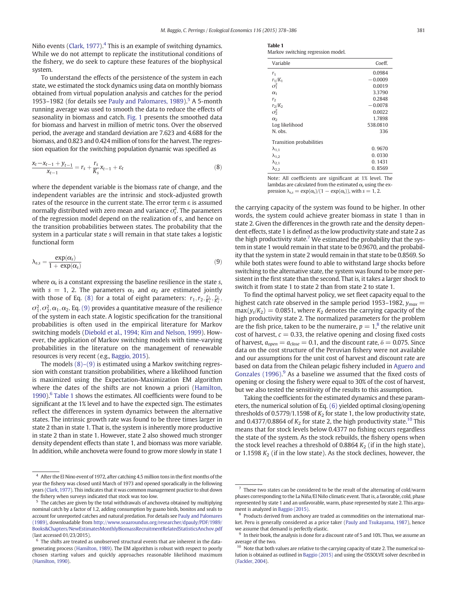Niño events [\(Clark, 1977\)](#page-7-0). $4$  This is an example of switching dynamics. While we do not attempt to replicate the institutional conditions of the fishery, we do seek to capture these features of the biophysical system.

To understand the effects of the persistence of the system in each state, we estimated the stock dynamics using data on monthly biomass obtained from virtual population analysis and catches for the period 1953–1982 (for details see [Pauly and Palomares, 1989](#page-8-0)).<sup>5</sup> A 5-month running average was used to smooth the data to reduce the effects of seasonality in biomass and catch. [Fig. 1](#page-2-0) presents the smoothed data for biomass and harvest in million of metric tons. Over the observed period, the average and standard deviation are 7.623 and 4.688 for the biomass, and 0.823 and 0.424 million of tons for the harvest. The regression equation for the switching population dynamic was specified as

$$
\frac{x_t - x_{t-1} + y_{t-1}}{x_{t-1}} = r_s + \frac{r_s}{K_s} x_{t-1} + \varepsilon_t
$$
\n(8)

where the dependent variable is the biomass rate of change, and the independent variables are the intrinsic and stock-adjusted growth rates of the resource in the current state. The error term ε is assumed normally distributed with zero mean and variance  $\sigma_{\hspace*{-.3mm}{\rm s}}^{\!2}$ . The parameters of the regression model depend on the realization of s, and hence on the transition probabilities between states. The probability that the system in a particular state s will remain in that state takes a logistic functional form

$$
\lambda_{s,s} = \frac{\exp(\alpha_s)}{1 + \exp(\alpha_s)}\tag{9}
$$

where  $\alpha_s$  is a constant expressing the baseline resilience in the state s, with  $s = 1$ , 2. The parameters  $\alpha_1$  and  $\alpha_2$  are estimated jointly with those of Eq. (8) for a total of eight parameters:  $r_1, r_2, \frac{r_1}{K_1}, \frac{r_2}{K_2}, \frac{r_1}{K_1}$  $\sigma_1^2, \sigma_2^2, \alpha_1, \alpha_2$ . Eq. (9) provides a quantitative measure of the resilience of the system in each state. A logistic specification for the transitional probabilities is often used in the empirical literature for Markov switching models ([Diebold et al., 1994; Kim and Nelson, 1999\)](#page-7-0). However, the application of Markov switching models with time-varying probabilities in the literature on the management of renewable resources is very recent (e.g., [Baggio, 2015\)](#page-7-0).

The models (8)–(9) is estimated using a Markov switching regression with constant transition probabilities, where a likelihood function is maximized using the Expectation-Maximization EM algorithm where the dates of the shifts are not known a priori [\(Hamilton,](#page-8-0) [1990\)](#page-8-0). $6$  Table 1 shows the estimates. All coefficients were found to be significant at the 1% level and to have the expected sign. The estimates reflect the differences in system dynamics between the alternative states. The intrinsic growth rate was found to be three times larger in state 2 than in state 1. That is, the system is inherently more productive in state 2 than in state 1. However, state 2 also showed much stronger density dependent effects than state 1, and biomass was more variable. In addition, while anchoveta were found to grow more slowly in state 1

| $\sim$ $\sim$ $\sim$ |  |  |  |
|----------------------|--|--|--|

Table 1

|  |  |  |  |  |  |  | Markov switching regression model. |  |  |  |
|--|--|--|--|--|--|--|------------------------------------|--|--|--|
|--|--|--|--|--|--|--|------------------------------------|--|--|--|

| Variable                 | Coeff.    |
|--------------------------|-----------|
| $r_{1}$                  | 0.0984    |
| $r_1/K_1$                | $-0.0009$ |
| $\sigma_1^2$             | 0.0019    |
| $\alpha_1$               | 3.3790    |
| r <sub>2</sub>           | 0.2848    |
| $r_2/K_2$                | $-0.0078$ |
| $\sigma^2$               | 0.0022    |
| $\alpha_2$               | 1.7898    |
| Log likelihood           | 538.0810  |
| N. obs.                  | 336       |
| Transition probabilities |           |
| $\lambda_{1,1}$          | 0.9670    |
| $\lambda_{1.2}$          | 0.0330    |
| $\lambda_{2,1}$          | 0.1431    |
| $\lambda_{2,2}$          | 0.8569    |

Note: All coefficients are significant at 1% level. The lambdas are calculated from the estimated  $\alpha_s$  using the expression  $\lambda_{s,s} = \exp(\alpha_s)/(1 - \exp(\alpha_s))$ , with  $s = 1, 2$ .

the carrying capacity of the system was found to be higher. In other words, the system could achieve greater biomass in state 1 than in state 2. Given the differences in the growth rate and the density dependent effects, state 1 is defined as the low productivity state and state 2 as the high productivity state.<sup>7</sup> We estimated the probability that the system in state 1 would remain in that state to be 0.9670, and the probability that the system in state 2 would remain in that state to be 0.8569. So while both states were found to able to withstand large shocks before switching to the alternative state, the system was found to be more persistent in the first state than the second. That is, it takes a larger shock to switch it from state 1 to state 2 than from state 2 to state 1.

To find the optimal harvest policy, we set fleet capacity equal to the highest catch rate observed in the sample period 1953–1982,  $y_{max}$  =  $max(y_t/K_2) = 0.0851$ , where  $K_2$  denotes the carrying capacity of the high productivity state 2. The normalized parameters for the problem are the fish price, taken to be the numeraire,  $p = 1$ ,<sup>8</sup> the relative unit cost of harvest,  $c = 0.33$ , the relative opening and closing fixed costs of harvest,  $a_{open} = a_{close} = 0.1$ , and the discount rate,  $\delta = 0.075$ . Since data on the cost structure of the Peruvian fishery were not available and our assumptions for the unit cost of harvest and discount rate are based on data from the Chilean pelagic fishery included in [Aguero and](#page-7-0) [Gonzales \(1996\).](#page-7-0) <sup>9</sup> As a baseline we assumed that the fixed costs of opening or closing the fishery were equal to 30% of the cost of harvest, but we also tested the sensitivity of the results to this assumption.

Taking the coefficients for the estimated dynamics and these parameters, the numerical solution of Eq. [\(6\)](#page-2-0) yielded optimal closing/opening thresholds of 0.5779/1.1598 of  $K_2$  for state 1, the low productivity state, and 0.4377/0.8864 of  $K_2$  for state 2, the high productivity state.<sup>10</sup> This means that for stock levels below 0.4377 no fishing occurs regardless the state of the system. As the stock rebuilds, the fishery opens when the stock level reaches a threshold of 0.8864  $K_2$  (if in the high state), or 1.1598  $K_2$  (if in the low state). As the stock declines, however, the

<sup>4</sup> After the El Nino event of 1972, after catching 4.5 million tons in the first months of the year the fishery was closed until March of 1973 and opened sporadically in the following years [\(Clark, 1977\)](#page-7-0). This indicates that it was common management practice to shut down the fishery when surveys indicated that stock was too low.

<sup>&</sup>lt;sup>5</sup> The catches are given by the total withdrawals of anchoveta obtained by multiplying nominal catch by a factor of 1.2, adding consumption by guano birds, bonitos and seals to account for unreported catches and natural predation. For details see [Pauly and Palomares](#page-8-0) [\(1989\)](#page-8-0), downloadable from [http://www.seaaroundus.org/researcher/dpauly/PDF/1989/](http://www.seaaroundus.org/researcher/dpauly/PDF/1989/Books&Chapters/NewEstimatesMonthlyBiomassRecruitmentRelatedStatisticsAnchov.pdf) [Books&Chapters/NewEstimatesMonthlyBiomassRecruitmentRelatedStatisticsAnchov.pdf](http://www.seaaroundus.org/researcher/dpauly/PDF/1989/Books&Chapters/NewEstimatesMonthlyBiomassRecruitmentRelatedStatisticsAnchov.pdf) (last accessed 01/23/2015).

 $6$  The shifts are treated as unobserved structural events that are inherent in the datagenerating process ([Hamilton, 1989\)](#page-8-0). The EM algorithm is robust with respect to poorly chosen starting values and quickly approaches reasonable likelihood maximum [\(Hamilton, 1990](#page-8-0)).

 $^7\,$  These two states can be considered to be the result of the alternating of cold/warm phases corresponding to the La Niña/El Niño climatic event. That is, a favorable, cold, phase represented by state 1 and an unfavorable, warm, phase represented by state 2. This argument is analyzed in [Baggio \(2015\).](#page-7-0)

<sup>&</sup>lt;sup>8</sup> Products derived from anchovy are traded as commodities on the international market. Peru is generally considered as a price taker ([Pauly and Tsukayama, 1987](#page-8-0)), hence we assume that demand is perfectly elastic.

 $9\,$  In their book, the analysis is done for a discount rate of 5 and 10%. Thus, we assume an average of the two.

 $10$  Note that both values are relative to the carrying capacity of state 2. The numerical solution is obtained as outlined in [Baggio \(2015\)](#page-7-0) and using the OSSOLVE solver described in [\(Fackler, 2004\)](#page-8-0).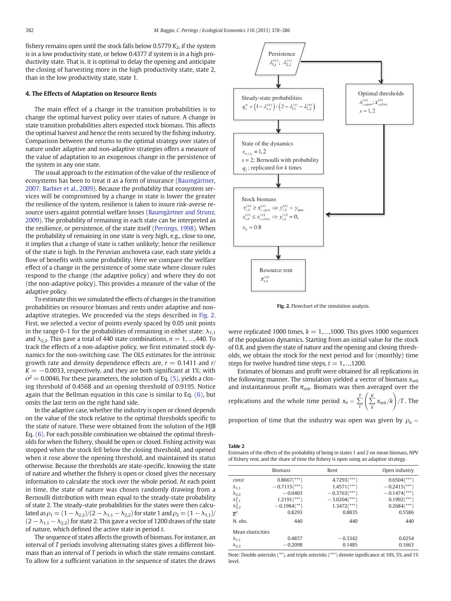<span id="page-4-0"></span>fishery remains open until the stock falls below  $0.5779 K<sub>2</sub>$ , if the system is in a low productivity state, or below 0.4377 if system is in a high productivity state. That is, it is optimal to delay the opening and anticipate the closing of harvesting more in the high productivity state, state 2, than in the low productivity state, state 1.

#### 4. The Effects of Adaptation on Resource Rents

The main effect of a change in the transition probabilities is to change the optimal harvest policy over states of nature. A change in state transition probabilities alters expected stock biomass. This affects the optimal harvest and hence the rents secured by the fishing industry. Comparison between the returns to the optimal strategy over states of nature under adaptive and non-adaptive strategies offers a measure of the value of adaptation to an exogenous change in the persistence of the system in any one state.

The usual approach to the estimation of the value of the resilience of ecosystems has been to treat it as a form of insurance [\(Baumgärtner,](#page-7-0) [2007; Barbier et al., 2009\)](#page-7-0). Because the probability that ecosystem services will be compromised by a change in state is lower the greater the resilience of the system, resilience is taken to insure risk-averse resource users against potential welfare losses [\(Baumgärtner and Strunz,](#page-7-0) [2009\)](#page-7-0). The probability of remaining in each state can be interpreted as the resilience, or persistence, of the state itself [\(Perrings, 1998\)](#page-8-0). When the probability of remaining in one state is very high, e.g., close to one, it implies that a change of state is rather unlikely; hence the resilience of the state is high. In the Peruvian anchoveta case, each state yields a flow of benefits with some probability. Here we compare the welfare effect of a change in the persistence of some state where closure rules respond to the change (the adaptive policy) and where they do not (the non-adaptive policy). This provides a measure of the value of the adaptive policy.

To estimate this we simulated the effects of changes in the transition probabilities on resource biomass and rents under adaptive and nonadaptive strategies. We proceeded via the steps described in Fig. 2. First, we selected a vector of points evenly spaced by 0.05 unit points in the range 0–1 for the probabilities of remaining in either state:  $\lambda_{1,1}$ and  $\lambda_{2,2}$ . This gave a total of 440 state combinations,  $n = 1, \dots, 440$ . To track the effects of a non-adaptive policy, we first estimated stock dynamics for the non-switching case. The OLS estimates for the intrinsic growth rate and density dependence effects are,  $r = 0.1411$  and r/  $K = -0.0033$ , respectively, and they are both significant at 1%; with  $\sigma^2$  = 0.0046. For these parameters, the solution of Eq. [\(5\),](#page-2-0) yields a closing threshold of 0.4568 and an opening threshold of 0.9195. Notice again that the Bellman equation in this case is similar to Eq. [\(6\)](#page-2-0), but omits the last term on the right hand side.

In the adaptive case, whether the industry is open or closed depends on the value of the stock relative to the optimal thresholds specific to the state of nature. These were obtained from the solution of the HJB Eq. [\(6\).](#page-2-0) For each possible combination we obtained the optimal thresholds for when the fishery, should be open or closed. Fishing activity was stopped when the stock fell below the closing threshold, and opened when it rose above the opening threshold, and maintained its status otherwise. Because the thresholds are state-specific, knowing the state of nature and whether the fishery is open or closed gives the necessary information to calculate the stock over the whole period. At each point in time, the state of nature was chosen randomly drawing from a Bernoulli distribution with mean equal to the steady-state probability of state 2. The steady-state probabilities for the states were then calculated as  $\rho_1 = (1 - \lambda_{2,2})/(2 - \lambda_{1,1} - \lambda_{2,2})$  for state 1 and  $\rho_2 = (1 - \lambda_{1,1})/2$  $(2 - \lambda_{1,1} - \lambda_{2,2})$  for state 2. This gave a vector of 1200 draws of the state of nature, which defined the active state in period t.

The sequence of states affects the growth of biomass. For instance, an interval of T periods involving alternating states gives a different biomass than an interval of T periods in which the state remains constant. To allow for a sufficient variation in the sequence of states the draws



Fig. 2. Flowchart of the simulation analysis.

were replicated 1000 times,  $k = 1,...,1000$ . This gives 1000 sequences of the population dynamics. Starting from an initial value for the stock of 0.8, and given the state of nature and the opening and closing thresholds, we obtain the stock for the next period and for (monthly) time steps for twelve hundred time steps,  $t = 1, \ldots, 1200$ .

Estimates of biomass and profit were obtained for all replications in the following manner. The simulation yielded a vector of biomass  $x_{ntk}$ and instantaneous profit  $\pi_{ntk}$ . Biomass was then averaged over the

replications and the whole time period 
$$
x_n = \sum_{t}^{T} \left( \sum_{k}^{K} x_{ntk} / k \right) / T
$$
. The

proportion of time that the industry was open was given by  $\rho_n =$ 

Table 2

Estimates of the effects of the probability of being in states 1 and 2 on mean biomass, NPV of fishery rent, and the share of time the fishery is open using an adaptive strategy.

|                                                                                  | <b>Biomass</b>             | Rent                       | Open industry              |
|----------------------------------------------------------------------------------|----------------------------|----------------------------|----------------------------|
| const                                                                            | $0.8667$ <sup>***</sup> )  | $4.7293$ <sup>***</sup> )  | $0.6504$ <sup>***</sup> )  |
| $\lambda_{1.1}$                                                                  | $-0.7115$ <sup>***</sup> ) | $1.4571$ <sup>***</sup> )  | $-0.2415$ <sup>***</sup> ) |
|                                                                                  | $-0.0403$                  | $-0.3763$ <sup>***</sup> ) | $-0.1474$ <sup>***</sup> ) |
|                                                                                  | $1.2191$ <sup>***</sup> )  | $-3.0204$ <sup>***</sup> ) | $0.1992$ <sup>***</sup> )  |
| $\begin{array}{c} \lambda_{2,2}\\ \lambda_{1,1}^2\\ \lambda_{2,2}^2 \end{array}$ | $-0.1984$ <sup>**</sup> )  | $1.3472$ <sup>***</sup> )  | $0.2684$ <sup>***</sup> )  |
| $\overline{R}^2$                                                                 | 0.8293                     | 0.8835                     | 0.5586                     |
| N. obs.                                                                          | 440                        | 440                        | 440                        |
| Mean elasticities                                                                |                            |                            |                            |
| $\lambda_{1.1}$                                                                  | 0.4857                     | $-0.3342$                  | 0.0254                     |
| $\lambda_{2,2}$                                                                  | $-0.2098$                  | 0.1485                     | 0.1663                     |

Note: Double asterisks (\*\*), and triple asterisks (\*\*\*) denote significance at 10%, 5%, and 1% level.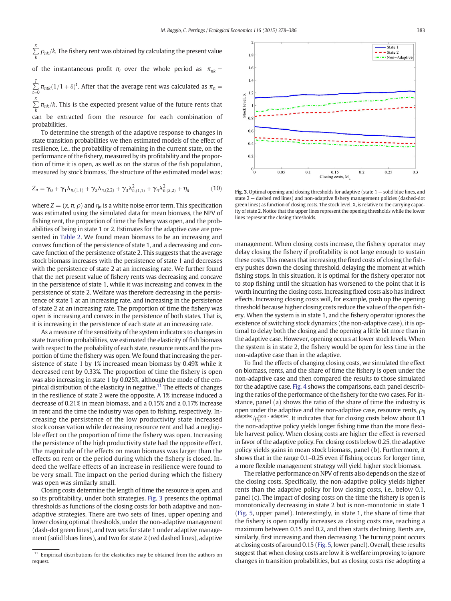$1.5$ 

 $\overline{16}$  $\mathbf{L}$  $\overline{1}$ 

 $\sum\limits_{k=-\infty}^{\infty}\rho_{nk}/k$ . The fishery rent was obtained by calculating the present value k

of the instantaneous profit  $\pi_t$  over the whole period as  $\pi_{nk} =$ 

 $\sum^T$  $\sum_{t=0} \pi_{ntk} (1/1+\delta)^t$ . After that the average rent was calculated as  $\pi_n =$ K

∑ k  $\pi_{nk}/k$ . This is the expected present value of the future rents that can be extracted from the resource for each combination of

probabilities.

To determine the strength of the adaptive response to changes in state transition probabilities we then estimated models of the effect of resilience, i.e., the probability of remaining in the current state, on the performance of the fishery, measured by its profitability and the proportion of time it is open, as well as on the status of the fish population, measured by stock biomass. The structure of the estimated model was:

$$
Z_n = \gamma_0 + \gamma_1 \lambda_{n,(1,1)} + \gamma_2 \lambda_{n,(2,2)} + \gamma_3 \lambda_{n,(1,1)}^2 + \gamma_4 \lambda_{n,(2,2)}^2 + \eta_n \tag{10}
$$

where  $Z = (x, \pi, \rho)$  and  $\eta_n$  is a white noise error term. This specification was estimated using the simulated data for mean biomass, the NPV of fishing rent, the proportion of time the fishery was open, and the probabilities of being in state 1 or 2. Estimates for the adaptive case are presented in [Table 2.](#page-4-0) We found mean biomass to be an increasing and convex function of the persistence of state 1, and a decreasing and concave function of the persistence of state 2. This suggests that the average stock biomass increases with the persistence of state 1 and decreases with the persistence of state 2 at an increasing rate. We further found that the net present value of fishery rents was decreasing and concave in the persistence of state 1, while it was increasing and convex in the persistence of state 2. Welfare was therefore decreasing in the persistence of state 1 at an increasing rate, and increasing in the persistence of state 2 at an increasing rate. The proportion of time the fishery was open is increasing and convex in the persistence of both states. That is, it is increasing in the persistence of each state at an increasing rate.

As a measure of the sensitivity of the system indicators to changes in state transition probabilities, we estimated the elasticity of fish biomass with respect to the probability of each state, resource rents and the proportion of time the fishery was open. We found that increasing the persistence of state 1 by 1% increased mean biomass by 0.49% while it decreased rent by 0.33%. The proportion of time the fishery is open was also increasing in state 1 by 0.025%, although the mode of the empirical distribution of the elasticity in negative.<sup>11</sup> The effects of changes in the resilience of state 2 were the opposite. A 1% increase induced a decrease of 0.21% in mean biomass, and a 0.15% and a 0.17% increase in rent and the time the industry was open to fishing, respectively. Increasing the persistence of the low productivity state increased stock conservation while decreasing resource rent and had a negligible effect on the proportion of time the fishery was open. Increasing the persistence of the high productivity state had the opposite effect. The magnitude of the effects on mean biomass was larger than the effects on rent or the period during which the fishery is closed. Indeed the welfare effects of an increase in resilience were found to be very small. The impact on the period during which the fishery was open was similarly small.

Closing costs determine the length of time the resource is open, and so its profitability, under both strategies. Fig. 3 presents the optimal thresholds as functions of the closing costs for both adaptive and nonadaptive strategies. There are two sets of lines, upper opening and lower closing optimal thresholds, under the non-adaptive management (dash-dot green lines), and two sets for state 1 under adaptive management (solid blues lines), and two for state 2 (red dashed lines), adaptive



state 2 — dashed red lines) and non-adaptive fishery management policies (dashed-dot green lines) as function of closing costs. The stock level, X, is relative to the carrying capacity of state 2. Notice that the upper lines represent the opening thresholds while the lower lines represent the closing thresholds.

management. When closing costs increase, the fishery operator may delay closing the fishery if profitability is not large enough to sustain these costs. This means that increasing the fixed costs of closing the fishery pushes down the closing threshold, delaying the moment at which fishing stops. In this situation, it is optimal for the fishery operator not to stop fishing until the situation has worsened to the point that it is worth incurring the closing costs. Increasing fixed costs also has indirect effects. Increasing closing costs will, for example, push up the opening threshold because higher closing costs reduce the value of the open fishery. When the system is in state 1, and the fishery operator ignores the existence of switching stock dynamics (the non-adaptive case), it is optimal to delay both the closing and the opening a little bit more than in the adaptive case. However, opening occurs at lower stock levels. When the system is in state 2, the fishery would be open for less time in the non-adaptive case than in the adaptive.

To find the effects of changing closing costs, we simulated the effect on biomass, rents, and the share of time the fishery is open under the non-adaptive case and then compared the results to those simulated for the adaptive case. [Fig. 4](#page-6-0) shows the comparisons, each panel describing the ratios of the performance of the fishery for the two cases. For instance, panel (a) shows the ratio of the share of time the industry is open under the adaptive and the non-adaptive case, resource rents,  $\rho_{\overline{n}}$ <br><sup>adaptive</sup>/ $\rho_n^{\text{non - adaptive}}$ . It indicates that for closing costs below about 0.1 the non-adaptive policy yields longer fishing time than the more flexible harvest policy. When closing costs are higher the effect is reversed in favor of the adaptive policy. For closing costs below 0.25, the adaptive policy yields gains in mean stock biomass, panel (b). Furthermore, it shows that in the range 0.1–0.25 even if fishing occurs for longer time, a more flexible management strategy will yield higher stock biomass.

The relative performance on NPV of rents also depends on the size of the closing costs. Specifically, the non-adaptive policy yields higher rents than the adaptive policy for low closing costs, i.e., below 0.1, panel (c). The impact of closing costs on the time the fishery is open is monotonically decreasing in state 2 but is non-monotonic in state 1 [\(Fig. 5,](#page-7-0) upper panel). Interestingly, in state 1, the share of time that the fishery is open rapidly increases as closing costs rise, reaching a maximum between 0.15 and 0.2, and then starts declining. Rents are, similarly, first increasing and then decreasing. The turning point occurs at closing costs of around 0.15 [\(Fig. 5](#page-7-0), lower panel). Overall, these results suggest that when closing costs are low it is welfare improving to ignore changes in transition probabilities, but as closing costs rise adopting a

State 1  $- -$  State 2

 $\rightarrow$   $\rightarrow$  Non-Adaptive

 $11$  Empirical distributions for the elasticities may be obtained from the authors on request.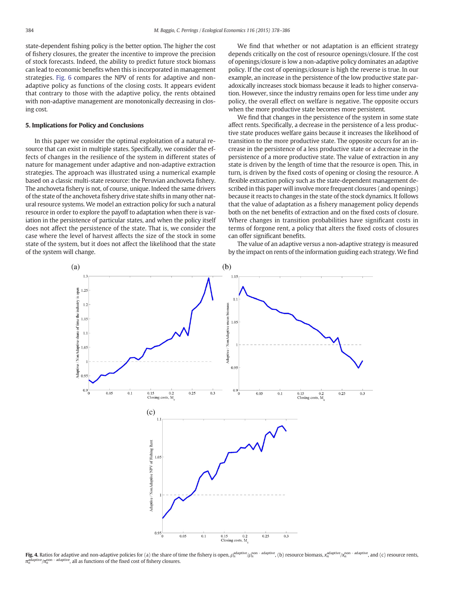<span id="page-6-0"></span>state-dependent fishing policy is the better option. The higher the cost of fishery closures, the greater the incentive to improve the precision of stock forecasts. Indeed, the ability to predict future stock biomass can lead to economic benefits when this is incorporated in management strategies. [Fig. 6](#page-7-0) compares the NPV of rents for adaptive and nonadaptive policy as functions of the closing costs. It appears evident that contrary to those with the adaptive policy, the rents obtained with non-adaptive management are monotonically decreasing in closing cost.

#### 5. Implications for Policy and Conclusions

In this paper we consider the optimal exploitation of a natural resource that can exist in multiple states. Specifically, we consider the effects of changes in the resilience of the system in different states of nature for management under adaptive and non-adaptive extraction strategies. The approach was illustrated using a numerical example based on a classic multi-state resource: the Peruvian anchoveta fishery. The anchoveta fishery is not, of course, unique. Indeed the same drivers of the state of the anchoveta fishery drive state shifts in many other natural resource systems. We model an extraction policy for such a natural resource in order to explore the payoff to adaptation when there is variation in the persistence of particular states, and when the policy itself does not affect the persistence of the state. That is, we consider the case where the level of harvest affects the size of the stock in some state of the system, but it does not affect the likelihood that the state of the system will change.

We find that whether or not adaptation is an efficient strategy depends critically on the cost of resource openings/closure. If the cost of openings/closure is low a non-adaptive policy dominates an adaptive policy. If the cost of openings/closure is high the reverse is true. In our example, an increase in the persistence of the low productive state paradoxically increases stock biomass because it leads to higher conservation. However, since the industry remains open for less time under any policy, the overall effect on welfare is negative. The opposite occurs when the more productive state becomes more persistent.

We find that changes in the persistence of the system in some state affect rents. Specifically, a decrease in the persistence of a less productive state produces welfare gains because it increases the likelihood of transition to the more productive state. The opposite occurs for an increase in the persistence of a less productive state or a decrease in the persistence of a more productive state. The value of extraction in any state is driven by the length of time that the resource is open. This, in turn, is driven by the fixed costs of opening or closing the resource. A flexible extraction policy such as the state-dependent management described in this paper will involve more frequent closures (and openings) because it reacts to changes in the state of the stock dynamics. It follows that the value of adaptation as a fishery management policy depends both on the net benefits of extraction and on the fixed costs of closure. Where changes in transition probabilities have significant costs in terms of forgone rent, a policy that alters the fixed costs of closures can offer significant benefits.

The value of an adaptive versus a non-adaptive strategy is measured by the impact on rents of the information guiding each strategy. We find



**Fig. 4.** Ratios for adaptive and non-adaptive policies for (a) the share of time the fishery is open,  $\rho_n^{\text{adaptive}}/\rho_n^{\text{non- adaptive}}$ , (b) resource biomass,  $x_n^{\text{adaptive}}/x_n^{\text{non-adaptive}}$ , and (c) resource rents,  $\pi$ <sup>2</sup>  $\frac{1}{n}$ adaptive/ $\pi^{\text{non - adaptive}}$ , all as functions of the fixed cost of fishery closures.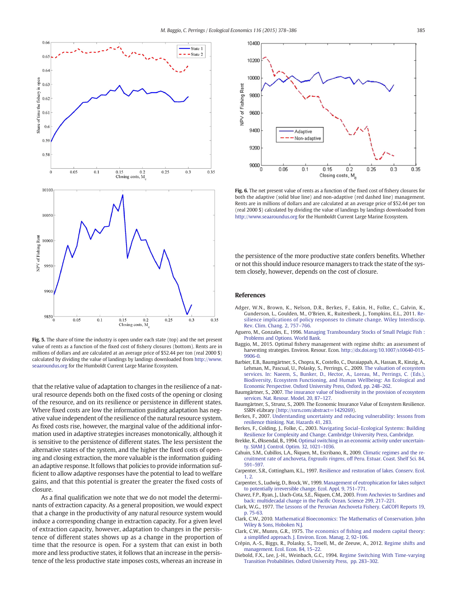<span id="page-7-0"></span>

Fig. 5. The share of time the industry is open under each state (top) and the net present value of rents as a function of the fixed cost of fishery closures (bottom). Rents are in millions of dollars and are calculated at an average price of \$52.44 per ton (real 2000 \$) calculated by dividing the value of landings by landings downloaded from [http://www.](http://www.seaaroundus.org) [seaaroundus.org](http://www.seaaroundus.org) for the Humboldt Current Large Marine Ecosystem.

that the relative value of adaptation to changes in the resilience of a natural resource depends both on the fixed costs of the opening or closing of the resource, and on its resilience or persistence in different states. Where fixed costs are low the information guiding adaptation has negative value independent of the resilience of the natural resource system. As fixed costs rise, however, the marginal value of the additional information used in adaptive strategies increases monotonically, although it is sensitive to the persistence of different states. The less persistent the alternative states of the system, and the higher the fixed costs of opening and closing extraction, the more valuable is the information guiding an adaptive response. It follows that policies to provide information sufficient to allow adaptive responses have the potential to lead to welfare gains, and that this potential is greater the greater the fixed costs of closure.

As a final qualification we note that we do not model the determinants of extraction capacity. As a general proposition, we would expect that a change in the productivity of any natural resource system would induce a corresponding change in extraction capacity. For a given level of extraction capacity, however, adaptation to changes in the persistence of different states shows up as a change in the proportion of time that the resource is open. For a system that can exist in both more and less productive states, it follows that an increase in the persistence of the less productive state imposes costs, whereas an increase in



Fig. 6. The net present value of rents as a function of the fixed cost of fishery closures for both the adaptive (solid blue line) and non-adaptive (red dashed line) management. Rents are in millions of dollars and are calculated at an average price of \$52.44 per ton (real 2000 \$) calculated by dividing the value of landings by landings downloaded from <http://www.seaaroundus.org> for the Humboldt Current Large Marine Ecosystem.

the persistence of the more productive state confers benefits. Whether or not this should induce resource managers to track the state of the system closely, however, depends on the cost of closure.

#### References

- Adger, W.N., Brown, K., Nelson, D.R., Berkes, F., Eakin, H., Folke, C., Galvin, K., Gunderson, L., Goulden, M., O'Brien, K., Ruitenbeek, J., Tompkins, E.L., 2011. [Re](http://refhub.elsevier.com/S0921-8009(15)00233-5/rf0005)[silience implications of policy responses to climate change. Wiley Interdiscip.](http://refhub.elsevier.com/S0921-8009(15)00233-5/rf0005) [Rev. Clim. Chang. 2, 757](http://refhub.elsevier.com/S0921-8009(15)00233-5/rf0005)–766.
- Aguero, M., Gonzales, E., 1996. [Managing Transboundary Stocks of Small Pelagic Fish :](http://refhub.elsevier.com/S0921-8009(15)00233-5/rf0010) [Problems and Options. World Bank.](http://refhub.elsevier.com/S0921-8009(15)00233-5/rf0010)
- Baggio, M., 2015. Optimal fishery management with regime shifts: an assessment of harvesting strategies. Environ. Resour. Econ. http://dx.doi.org[/10.1007/s10640-015-](http://dx.doi.org/10.1007/s10640-015-9906-0) [9906-0.](http://dx.doi.org/10.1007/s10640-015-9906-0)
- Barbier, E.B., Baumgärtner, S., Chopra, K., Costello, C., Duraiappah, A., Hassan, R., Kinzig, A., Lehman, M., Pascual, U., Polasky, S., Perrings, C., 2009. [The valuation of ecosystem](http://refhub.elsevier.com/S0921-8009(15)00233-5/rf0020) [services. In: Naeem, S., Bunker, D., Hector, A., Loreau, M., Perrings, C. \(Eds.\),](http://refhub.elsevier.com/S0921-8009(15)00233-5/rf0020) [Biodiversity, Ecosystem Functioning, and Human Wellbeing: An Ecological and](http://refhub.elsevier.com/S0921-8009(15)00233-5/rf0020) [Economic Perspective. Oxford University Press, Oxford, pp. 248](http://refhub.elsevier.com/S0921-8009(15)00233-5/rf0020)–262.
- Baumgärtner, S., 2007. [The insurance value of biodiversity in the provision of ecosystem](http://refhub.elsevier.com/S0921-8009(15)00233-5/rf0025) [services. Nat. Resour. Model. 20, 87](http://refhub.elsevier.com/S0921-8009(15)00233-5/rf0025)–127.
- Baumgärtner, S., Strunz, S., 2009. The Economic Insurance Value of Ecosystem Resilience. SSRN eLibrary (<http://ssrn.com/abstract=1429269>).
- Berkes, F., 2007. [Understanding uncertainty and reducing vulnerability: lessons from](http://refhub.elsevier.com/S0921-8009(15)00233-5/rf0035) [resilience thinking. Nat. Hazards 41, 283](http://refhub.elsevier.com/S0921-8009(15)00233-5/rf0035).
- Berkes, F., Colding, J., Folke, C., 2003. Navigating Social–[Ecological Systems: Building](http://refhub.elsevier.com/S0921-8009(15)00233-5/rf0040) [Resilience for Complexity and Change. Cambridge University Press, Cambridge](http://refhub.elsevier.com/S0921-8009(15)00233-5/rf0040).
- Brekke, K., Øksendal, B., 1994. [Optimal switching in an economic activity under uncertain](http://refhub.elsevier.com/S0921-8009(15)00233-5/rf0045)[ty. SIAM J. Control. Optim. 32, 1021](http://refhub.elsevier.com/S0921-8009(15)00233-5/rf0045)–1036.
- Cahuin, S.M., Cubillos, L.A., Ñiquen, M., Escribano, R., 2009. [Climatic regimes and the re](http://refhub.elsevier.com/S0921-8009(15)00233-5/rf0050)cruitment rate of anchoveta, Engraulis ringens[, off Peru. Estuar. Coast. Shelf Sci. 84,](http://refhub.elsevier.com/S0921-8009(15)00233-5/rf0050) [591](http://refhub.elsevier.com/S0921-8009(15)00233-5/rf0050)–597.
- Carpenter, S.R., Cottingham, K.L., 1997. [Resilience and restoration of lakes. Conserv. Ecol.](http://refhub.elsevier.com/S0921-8009(15)00233-5/rf0055) [1, 2.](http://refhub.elsevier.com/S0921-8009(15)00233-5/rf0055)
- Carpenter, S., Ludwig, D., Brock, W., 1999. [Management of eutrophication for lakes subject](http://refhub.elsevier.com/S0921-8009(15)00233-5/rf0060) [to potentially irreversible change. Ecol. Appl. 9, 751](http://refhub.elsevier.com/S0921-8009(15)00233-5/rf0060)–771.
- Chavez, F.P., Ryan, J., Lluch-Cota, S.E., Ñiquen, C.M., 2003. [From Anchovies to Sardines and](http://refhub.elsevier.com/S0921-8009(15)00233-5/rf0065) [back: multidecadal change in the Paci](http://refhub.elsevier.com/S0921-8009(15)00233-5/rf0065)fic Ocean. Science 299, 217–221.
- Clark, W.G., 1977. [The Lessons of the Peruvian Anchoveta Fishery. CalCOFI Reports 19,](http://refhub.elsevier.com/S0921-8009(15)00233-5/rf0070) [p. 75-63](http://refhub.elsevier.com/S0921-8009(15)00233-5/rf0070).
- Clark, C.W., 2010. [Mathematical Bioeconomics: The Mathematics of Conservation. John](http://refhub.elsevier.com/S0921-8009(15)00233-5/rf0075) [Wiley & Sons, Hoboken N.J.](http://refhub.elsevier.com/S0921-8009(15)00233-5/rf0075)
- Clark, C.W., Munro, G.R., 1975. The economics of fi[shing and modern capital theory:](http://refhub.elsevier.com/S0921-8009(15)00233-5/rf0080) a simplifi[ed approach. J. Environ. Econ. Manag. 2, 92](http://refhub.elsevier.com/S0921-8009(15)00233-5/rf0080)–106. Crépin, A.-S., Biggs, R., Polasky, S., Troell, M., de Zeeuw, A., 2012. [Regime shifts and](http://refhub.elsevier.com/S0921-8009(15)00233-5/rf0085)
- [management. Ecol. Econ. 84, 15](http://refhub.elsevier.com/S0921-8009(15)00233-5/rf0085)–22.
- Diebold, F.X., Lee, J.-H., Weinbach, G.C., 1994. [Regime Switching With Time-varying](http://refhub.elsevier.com/S0921-8009(15)00233-5/rf0090) [Transition Probabilities. Oxford University Press, pp. 283](http://refhub.elsevier.com/S0921-8009(15)00233-5/rf0090)–302.